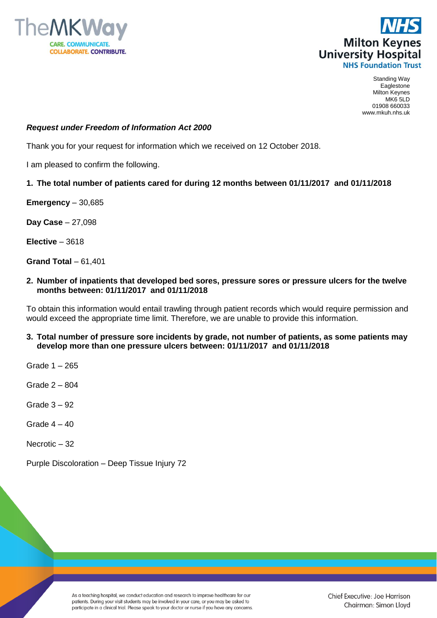



Standing Way Eaglestone Milton Keynes MK6 5LD 01908 660033 www.mkuh.nhs.uk

#### *Request under Freedom of Information Act 2000*

Thank you for your request for information which we received on 12 October 2018.

I am pleased to confirm the following.

### **1. The total number of patients cared for during 12 months between 01/11/2017 and 01/11/2018**

**Emergency** – 30,685

**Day Case** – 27,098

**Elective** – 3618

**Grand Total** – 61,401

**2. Number of inpatients that developed bed sores, pressure sores or pressure ulcers for the twelve months between: 01/11/2017 and 01/11/2018**

To obtain this information would entail trawling through patient records which would require permission and would exceed the appropriate time limit. Therefore, we are unable to provide this information.

**3. Total number of pressure sore incidents by grade, not number of patients, as some patients may develop more than one pressure ulcers between: 01/11/2017 and 01/11/2018**

Grade 1 – 265

Grade 2 – 804

Grade 3 – 92

Grade  $4 - 40$ 

Necrotic – 32

Purple Discoloration – Deep Tissue Injury 72

As a teaching hospital, we conduct education and research to improve healthcare for our patients. During your visit students may be involved in your care, or you may be asked to participate in a clinical trial. Please speak to your doctor or nurse if you have any concerns. Chief Executive: Joe Harrison Chairman: Simon Lloyd